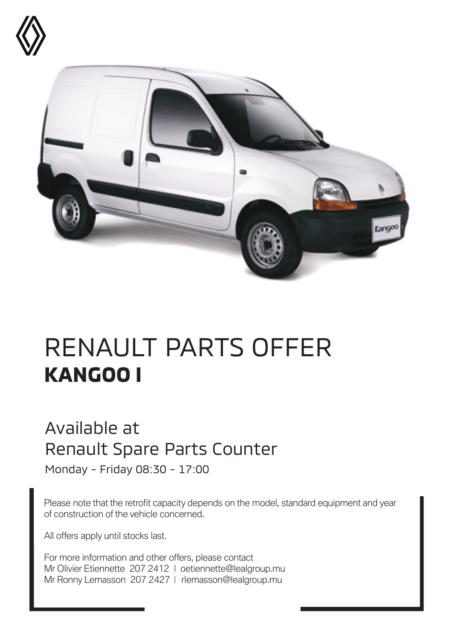



## RENAULT PARTS OFFER **KANGOO I**

## Available at Renault Spare Parts Counter

Monday - Friday 08:30 - 17:00

Please note that the retrofit capacity depends on the model, standard equipment and year of construction of the vehicle concerned.

All offers apply until stocks last.

For more information and other offers, please contact Mr Olivier Etiennette 207 2412 | oetiennette@lealgroup.mu Mr Ronny Lemasson 207 2427 | rlemasson@lealgroup.mu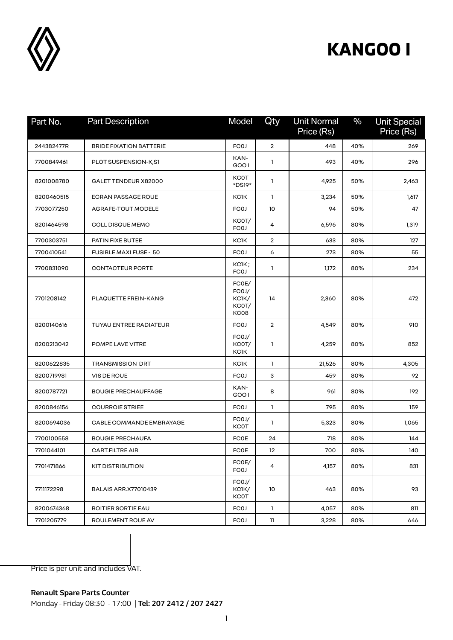

## **KANGOO I**

| Part No.   | <b>Part Description</b>        | Model                                    | Qty            | <b>Unit Normal</b><br>Price (Rs) | $\frac{0}{0}$ | <b>Unit Special</b><br>Price (Rs) |
|------------|--------------------------------|------------------------------------------|----------------|----------------------------------|---------------|-----------------------------------|
| 244382477R | <b>BRIDE FIXATION BATTERIE</b> | <b>FCOJ</b>                              | $\overline{2}$ | 448                              | 40%           | 269                               |
| 7700849461 | PLOT SUSPENSION-K,S1           | KAN-<br>GOO1                             | 1              | 493                              | 40%           | 296                               |
| 8201008780 | GALET TENDEUR X82000           | <b>KCOT</b><br>*DS19*                    | 1              | 4,925                            | 50%           | 2,463                             |
| 8200460515 | <b>ECRAN PASSAGE ROUE</b>      | <b>KCJK</b>                              | 1              | 3,234                            | 50%           | 1,617                             |
| 7703077250 | AGRAFE-TOUT MODELE             | <b>FCOJ</b>                              | 10             | 94                               | 50%           | 47                                |
| 8201464598 | COLL DISQUE MEMO               | KC0T/<br><b>FCOJ</b>                     | 4              | 6,596                            | 80%           | 1,319                             |
| 7700303751 | PATIN FIXE BUTEE               | <b>KCJK</b>                              | $\overline{2}$ | 633                              | 80%           | 127                               |
| 7700410541 | <b>FUSIBLE MAXI FUSE - 50</b>  | <b>FCOJ</b>                              | 6              | 273                              | 80%           | 55                                |
| 7700831090 | <b>CONTACTEUR PORTE</b>        | KCIK;<br><b>FCOJ</b>                     | 1              | 1,172                            | 80%           | 234                               |
| 7701208142 | PLAQUETTE FREIN-KANG           | FCOE/<br>FCOJ/<br>KC1K/<br>KC0T/<br>KC08 | 14             | 2,360                            | 80%           | 472                               |
| 8200140616 | TUYAU ENTREE RADIATEUR         | <b>FCOJ</b>                              | $\overline{2}$ | 4,549                            | 80%           | 910                               |
| 8200213042 | POMPE LAVE VITRE               | FCOJ/<br>KC0T/<br><b>KCIK</b>            | 1              | 4,259                            | 80%           | 852                               |
| 8200622835 | <b>TRANSMISSION DRT</b>        | <b>KCJK</b>                              | $\mathbf{1}$   | 21,526                           | 80%           | 4,305                             |
| 8200719981 | VIS DE ROUE                    | <b>FCOJ</b>                              | 3              | 459                              | 80%           | 92                                |
| 8200787721 | <b>BOUGIE PRECHAUFFAGE</b>     | KAN-<br>GOO1                             | 8              | 961                              | 80%           | 192                               |
| 8200846156 | <b>COURROIE STRIEE</b>         | <b>FCOJ</b>                              | $\mathbf{1}$   | 795                              | 80%           | 159                               |
| 8200694036 | CABLE COMMANDE EMBRAYAGE       | FCOJ/<br><b>KCOT</b>                     | 1              | 5,323                            | 80%           | 1,065                             |
| 7700100558 | <b>BOUGIE PRECHAUFA</b>        | <b>FCOE</b>                              | 24             | 718                              | 80%           | 144                               |
| 7701044101 | <b>CART FILTRE AIR</b>         | <b>FCOE</b>                              | 12             | 700                              | 80%           | 140                               |
| 7701471866 | <b>KIT DISTRIBUTION</b>        | FCOE/<br><b>FCOJ</b>                     | 4              | 4,157                            | 80%           | 831                               |
| 7711172298 | <b>BALAIS ARR.X77010439</b>    | FCOJ/<br>KC1K/<br><b>KCOT</b>            | 10             | 463                              | 80%           | 93                                |
| 8200674368 | <b>BOITIER SORTIE EAU</b>      | <b>FCOJ</b>                              | $\mathbf{1}$   | 4,057                            | 80%           | 811                               |
| 7701205779 | ROULEMENT ROUE AV              | <b>FCOJ</b>                              | $\mathbf{11}$  | 3,228                            | 80%           | 646                               |

Price is per unit and includes VAT.

**Renault Spare Parts Counter**  Monday - Friday 08:30 - 17:00 | **Tel: 207 2412 / 207 2427**